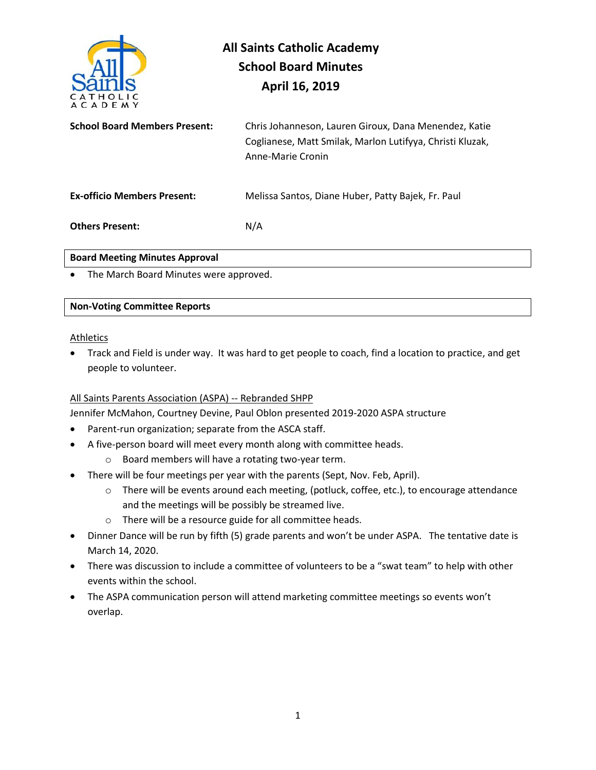

| <b>School Board Members Present:</b> | Chris Johanneson, Lauren Giroux, Dana Menendez, Katie<br>Coglianese, Matt Smilak, Marlon Lutifyya, Christi Kluzak,<br>Anne-Marie Cronin |
|--------------------------------------|-----------------------------------------------------------------------------------------------------------------------------------------|
| <b>Ex-officio Members Present:</b>   | Melissa Santos, Diane Huber, Patty Bajek, Fr. Paul                                                                                      |
| <b>Others Present:</b>               | N/A                                                                                                                                     |

## **Board Meeting Minutes Approval**

• The March Board Minutes were approved.

## **Non-Voting Committee Reports**

## Athletics

• Track and Field is under way. It was hard to get people to coach, find a location to practice, and get people to volunteer.

# All Saints Parents Association (ASPA) -- Rebranded SHPP

Jennifer McMahon, Courtney Devine, Paul Oblon presented 2019-2020 ASPA structure

- Parent-run organization; separate from the ASCA staff.
- A five-person board will meet every month along with committee heads.
	- o Board members will have a rotating two-year term.
- There will be four meetings per year with the parents (Sept, Nov. Feb, April).
	- o There will be events around each meeting, (potluck, coffee, etc.), to encourage attendance and the meetings will be possibly be streamed live.
	- o There will be a resource guide for all committee heads.
- Dinner Dance will be run by fifth (5) grade parents and won't be under ASPA. The tentative date is March 14, 2020.
- There was discussion to include a committee of volunteers to be a "swat team" to help with other events within the school.
- The ASPA communication person will attend marketing committee meetings so events won't overlap.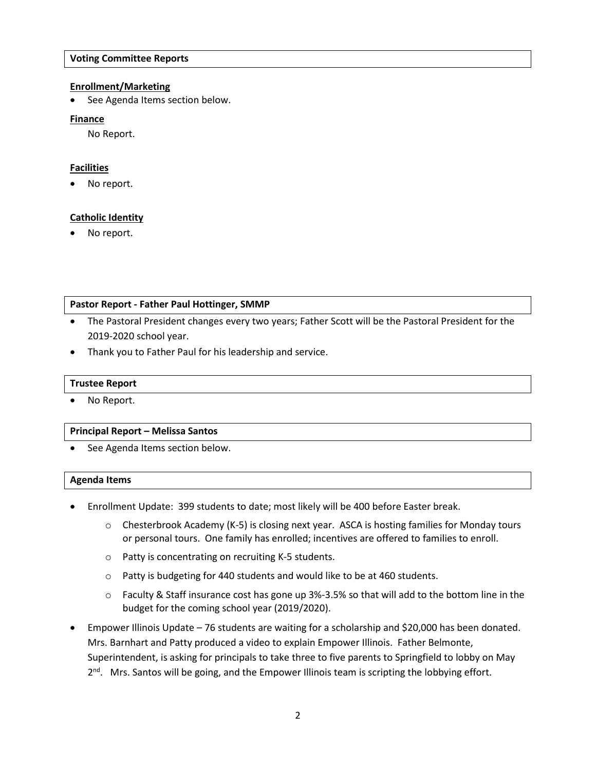## **Voting Committee Reports**

## **Enrollment/Marketing**

See Agenda Items section below.

## **Finance**

No Report.

# **Facilities**

No report.

# **Catholic Identity**

No report.

## **Pastor Report - Father Paul Hottinger, SMMP**

- The Pastoral President changes every two years; Father Scott will be the Pastoral President for the 2019-2020 school year.
- Thank you to Father Paul for his leadership and service.

### **Trustee Report**

• No Report.

#### **Principal Report – Melissa Santos**

See Agenda Items section below.

#### **Agenda Items**

- Enrollment Update: 399 students to date; most likely will be 400 before Easter break.
	- $\circ$  Chesterbrook Academy (K-5) is closing next year. ASCA is hosting families for Monday tours or personal tours. One family has enrolled; incentives are offered to families to enroll.
	- o Patty is concentrating on recruiting K-5 students.
	- o Patty is budgeting for 440 students and would like to be at 460 students.
	- $\circ$  Faculty & Staff insurance cost has gone up 3%-3.5% so that will add to the bottom line in the budget for the coming school year (2019/2020).
- Empower Illinois Update 76 students are waiting for a scholarship and \$20,000 has been donated. Mrs. Barnhart and Patty produced a video to explain Empower Illinois. Father Belmonte, Superintendent, is asking for principals to take three to five parents to Springfield to lobby on May 2<sup>nd</sup>. Mrs. Santos will be going, and the Empower Illinois team is scripting the lobbying effort.